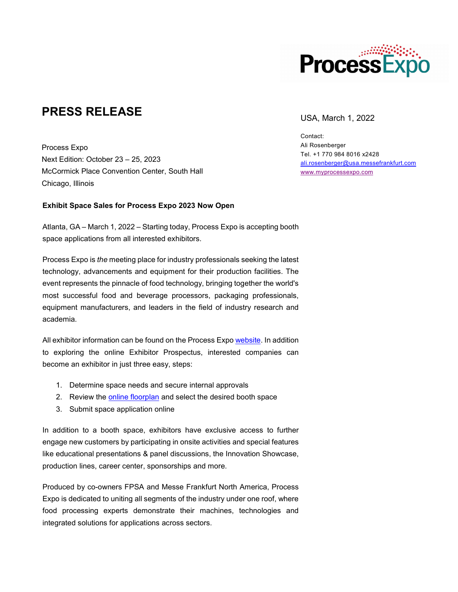

## **PRESS RELEASE** USA, March 1, 2022

Process Expo Next Edition: October 23 – 25, 2023 McCormick Place Convention Center, South Hall Chicago, Illinois

### **Exhibit Space Sales for Process Expo 2023 Now Open**

Atlanta, GA – March 1, 2022 – Starting today, Process Expo is accepting booth space applications from all interested exhibitors.

Process Expo is *the* meeting place for industry professionals seeking the latest technology, advancements and equipment for their production facilities. The event represents the pinnacle of food technology, bringing together the world's most successful food and beverage processors, packaging professionals, equipment manufacturers, and leaders in the field of industry research and academia.

All exhibitor information can be found on the Process Expo [website.](https://process-expo.us.messefrankfurt.com/us/en/exhibitor-services.html) In addition to exploring the online Exhibitor Prospectus, interested companies can become an exhibitor in just three easy, steps:

- 1. Determine space needs and secure internal approvals
- 2. Review the [online floorplan](https://pe23.mapyourshow.com/8_0/exhview/index.cfm) and select the desired booth space
- 3. Submit space application online

In addition to a booth space, exhibitors have exclusive access to further engage new customers by participating in onsite activities and special features like educational presentations & panel discussions, the Innovation Showcase, production lines, career center, sponsorships and more.

Produced by co-owners FPSA and Messe Frankfurt North America, Process Expo is dedicated to uniting all segments of the industry under one roof, where food processing experts demonstrate their machines, technologies and integrated solutions for applications across sectors.

Contact: Ali Rosenberger Tel. +1 770 984 8016 x2428 [ali.rosenberger@usa.messefrankfurt.com](mailto:ali.rosenberger@usa.messefrankfurt.com) [www.myprocessexpo.com](http://www.myprocessexpo.com/)